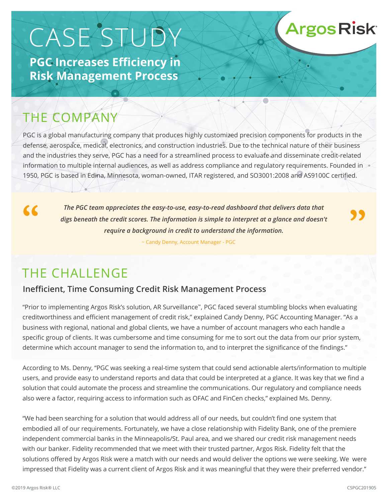# CASE STUDY

**PGC Increases Efficiency in Risk Management Process**

## THE COMPANY

PGC is a global manufacturing company that produces highly customized precision components for products in the defense, aerospace, medical, electronics, and construction industries. Due to the technical nature of their business and the industries they serve, PGC has a need for a streamlined process to evaluate and disseminate credit-related information to multiple internal audiences, as well as address compliance and regulatory requirements. Founded in 1950, PGC is based in Edina, Minnesota, woman-owned, ITAR registered, and SO3001:2008 and AS9100C certified.

 $\epsilon$ 

*The PGC team appreciates the easy-to-use, easy-to-read dashboard that delivers data that digs beneath the credit scores. The information is simple to interpret at a glance and doesn't require a background in credit to understand the information.*

~ Candy Denny, Account Manager - PGC

## THE CHALLENGE

### **Inefficient, Time Consuming Credit Risk Management Process**

"Prior to implementing Argos Risk's solution, AR Surveillance™, PGC faced several stumbling blocks when evaluating creditworthiness and efficient management of credit risk," explained Candy Denny, PGC Accounting Manager. "As a business with regional, national and global clients, we have a number of account managers who each handle a specific group of clients. It was cumbersome and time consuming for me to sort out the data from our prior system, determine which account manager to send the information to, and to interpret the significance of the findings."

According to Ms. Denny, "PGC was seeking a real-time system that could send actionable alerts/information to multiple users, and provide easy to understand reports and data that could be interpreted at a glance. It was key that we find a solution that could automate the process and streamline the communications. Our regulatory and compliance needs also were a factor, requiring access to information such as OFAC and FinCen checks," explained Ms. Denny.

"We had been searching for a solution that would address all of our needs, but couldn't find one system that embodied all of our requirements. Fortunately, we have a close relationship with Fidelity Bank, one of the premiere independent commercial banks in the Minneapolis/St. Paul area, and we shared our credit risk management needs with our banker. Fidelity recommended that we meet with their trusted partner, Argos Risk. Fidelity felt that the solutions offered by Argos Risk were a match with our needs and would deliver the options we were seeking. We were impressed that Fidelity was a current client of Argos Risk and it was meaningful that they were their preferred vendor."

**Argos Risk**